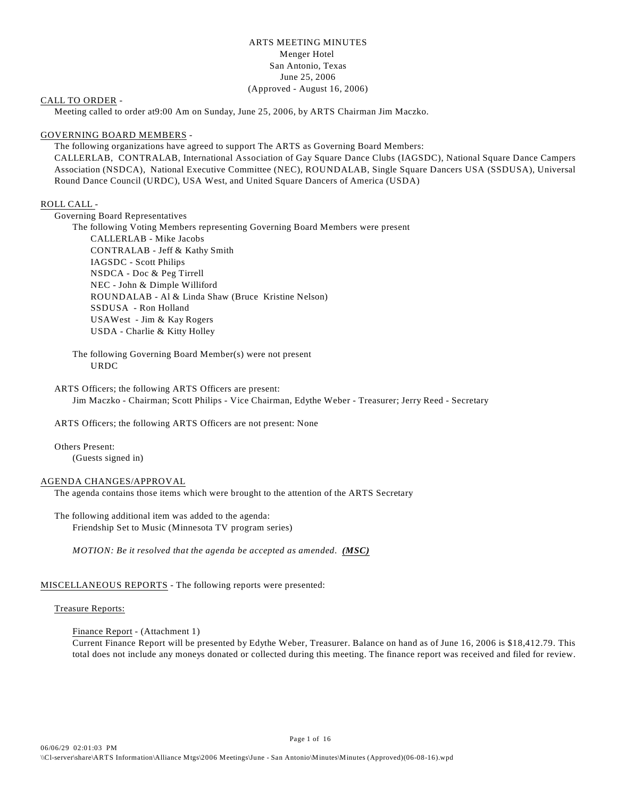# ARTS MEETING MINUTES Menger Hotel San Antonio, Texas June 25, 2006 (Approved - August 16, 2006)

# CALL TO ORDER -

Meeting called to order at9:00 Am on Sunday, June 25, 2006, by ARTS Chairman Jim Maczko.

#### GOVERNING BOARD MEMBERS -

The following organizations have agreed to support The ARTS as Governing Board Members: CALLERLAB, CONTRALAB, International Association of Gay Square Dance Clubs (IAGSDC), National Square Dance Campers Association (NSDCA), National Executive Committee (NEC), ROUNDALAB, Single Square Dancers USA (SSDUSA), Universal Round Dance Council (URDC), USA West, and United Square Dancers of America (USDA)

# ROLL CALL -

Governing Board Representatives

The following Voting Members representing Governing Board Members were present CALLERLAB - Mike Jacobs CONTRALAB - Jeff & Kathy Smith IAGSDC - Scott Philips NSDCA - Doc & Peg Tirrell NEC - John & Dimple Williford ROUNDALAB - Al & Linda Shaw (Bruce Kristine Nelson) SSDUSA - Ron Holland USAWest - Jim & Kay Rogers USDA - Charlie & Kitty Holley

The following Governing Board Member(s) were not present URDC

ARTS Officers; the following ARTS Officers are present: Jim Maczko - Chairman; Scott Philips - Vice Chairman, Edythe Weber - Treasurer; Jerry Reed - Secretary

ARTS Officers; the following ARTS Officers are not present: None

Others Present: (Guests signed in)

#### AGENDA CHANGES/APPROVAL

The agenda contains those items which were brought to the attention of the ARTS Secretary

The following additional item was added to the agenda: Friendship Set to Music (Minnesota TV program series)

*MOTION: Be it resolved that the agenda be accepted as amended. (MSC)* 

# MISCELLANEOUS REPORTS - The following reports were presented:

# Treasure Reports:

Finance Report - (Attachment 1) Current Finance Report will be presented by Edythe Weber, Treasurer. Balance on hand as of June 16, 2006 is \$18,412.79. This total does not include any moneys donated or collected during this meeting. The finance report was received and filed for review.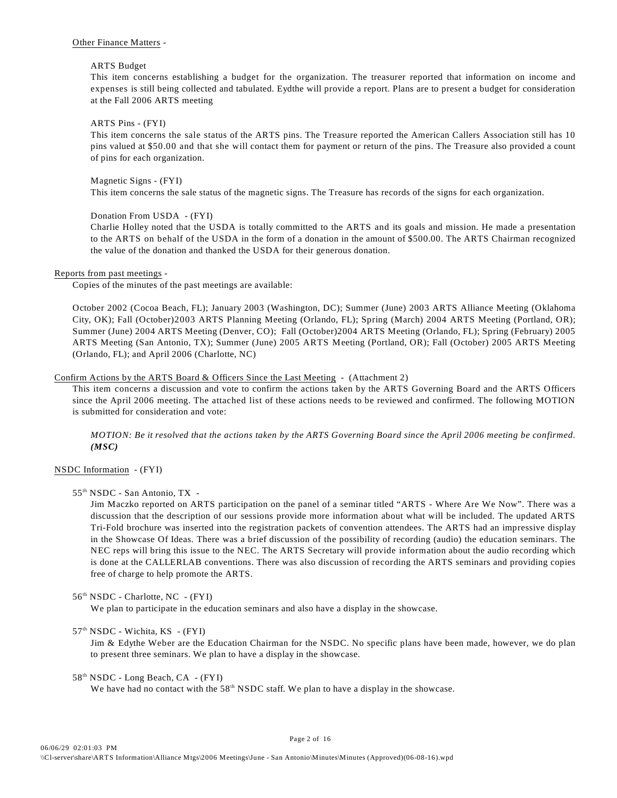# Other Finance Matters -

# ARTS Budget

This item concerns establishing a budget for the organization. The treasurer reported that information on income and expenses is still being collected and tabulated. Eydthe will provide a report. Plans are to present a budget for consideration at the Fall 2006 ARTS meeting

# ARTS Pins - (FYI)

This item concerns the sale status of the ARTS pins. The Treasure reported the American Callers Association still has 10 pins valued at \$50.00 and that she will contact them for payment or return of the pins. The Treasure also provided a count of pins for each organization.

# Magnetic Signs - (FYI)

This item concerns the sale status of the magnetic signs. The Treasure has records of the signs for each organization.

# Donation From USDA - (FYI)

Charlie Holley noted that the USDA is totally committed to the ARTS and its goals and mission. He made a presentation to the ARTS on behalf of the USDA in the form of a donation in the amount of \$500.00. The ARTS Chairman recognized the value of the donation and thanked the USDA for their generous donation.

# Reports from past meetings -

Copies of the minutes of the past meetings are available:

October 2002 (Cocoa Beach, FL); January 2003 (Washington, DC); Summer (June) 2003 ARTS Alliance Meeting (Oklahoma City, OK); Fall (October)2003 ARTS Planning Meeting (Orlando, FL); Spring (March) 2004 ARTS Meeting (Portland, OR); Summer (June) 2004 ARTS Meeting (Denver, CO); Fall (October)2004 ARTS Meeting (Orlando, FL); Spring (February) 2005 ARTS Meeting (San Antonio, TX); Summer (June) 2005 ARTS Meeting (Portland, OR); Fall (October) 2005 ARTS Meeting (Orlando, FL); and April 2006 (Charlotte, NC)

# Confirm Actions by the ARTS Board & Officers Since the Last Meeting - (Attachment 2)

This item concerns a discussion and vote to confirm the actions taken by the ARTS Governing Board and the ARTS Officers since the April 2006 meeting. The attached list of these actions needs to be reviewed and confirmed. The following MOTION is submitted for consideration and vote:

*MOTION: Be it resolved that the actions taken by the ARTS Governing Board since the April 2006 meeting be confirmed. (MSC)*

# NSDC Information - (FYI)

# 55<sup>th</sup> NSDC - San Antonio, TX -

Jim Maczko reported on ARTS participation on the panel of a seminar titled "ARTS - Where Are We Now". There was a discussion that the description of our sessions provide more information about what will be included. The updated ARTS Tri-Fold brochure was inserted into the registration packets of convention attendees. The ARTS had an impressive display in the Showcase Of Ideas. There was a brief discussion of the possibility of recording (audio) the education seminars. The NEC reps will bring this issue to the NEC. The ARTS Secretary will provide information about the audio recording which is done at the CALLERLAB conventions. There was also discussion of recording the ARTS seminars and providing copies free of charge to help promote the ARTS.

# 56<sup>th</sup> NSDC - Charlotte, NC - (FYI)

We plan to participate in the education seminars and also have a display in the showcase.

# 57<sup>th</sup> NSDC - Wichita, KS - (FYI)

Jim & Edythe Weber are the Education Chairman for the NSDC. No specific plans have been made, however, we do plan to present three seminars. We plan to have a display in the showcase.

# $58<sup>th</sup> NSDC - Long Beach, CA - (FYI)$

We have had no contact with the  $58<sup>th</sup>$  NSDC staff. We plan to have a display in the showcase.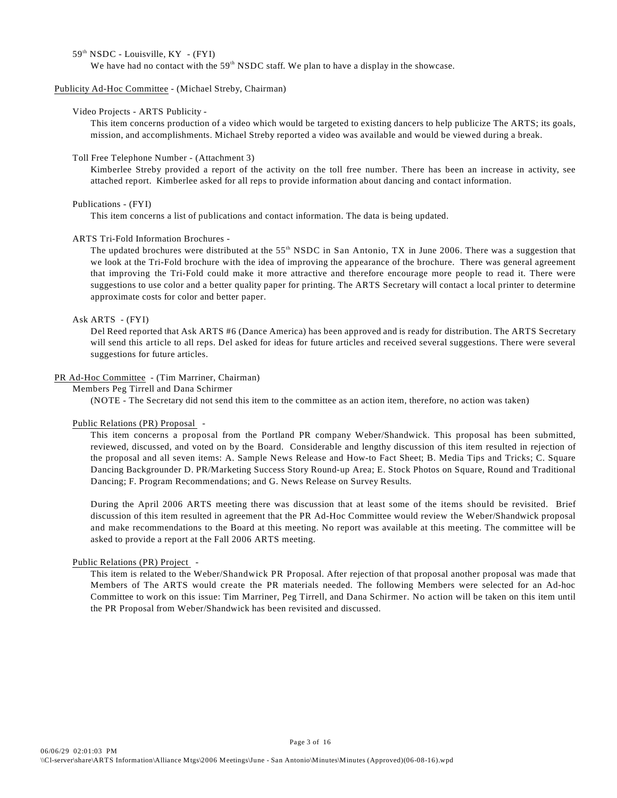# 59<sup>th</sup> NSDC - Louisville, KY - (FYI)

We have had no contact with the  $59<sup>th</sup>$  NSDC staff. We plan to have a display in the showcase.

# Publicity Ad-Hoc Committee - (Michael Streby, Chairman)

# Video Projects - ARTS Publicity -

This item concerns production of a video which would be targeted to existing dancers to help publicize The ARTS; its goals, mission, and accomplishments. Michael Streby reported a video was available and would be viewed during a break.

#### Toll Free Telephone Number - (Attachment 3)

Kimberlee Streby provided a report of the activity on the toll free number. There has been an increase in activity, see attached report. Kimberlee asked for all reps to provide information about dancing and contact information.

#### Publications - (FYI)

This item concerns a list of publications and contact information. The data is being updated.

# ARTS Tri-Fold Information Brochures -

The updated brochures were distributed at the  $55<sup>th</sup>$  NSDC in San Antonio, TX in June 2006. There was a suggestion that we look at the Tri-Fold brochure with the idea of improving the appearance of the brochure. There was general agreement that improving the Tri-Fold could make it more attractive and therefore encourage more people to read it. There were suggestions to use color and a better quality paper for printing. The ARTS Secretary will contact a local printer to determine approximate costs for color and better paper.

# Ask ARTS - (FYI)

Del Reed reported that Ask ARTS #6 (Dance America) has been approved and is ready for distribution. The ARTS Secretary will send this article to all reps. Del asked for ideas for future articles and received several suggestions. There were several suggestions for future articles.

# PR Ad-Hoc Committee - (Tim Marriner, Chairman)

Members Peg Tirrell and Dana Schirmer

(NOTE - The Secretary did not send this item to the committee as an action item, therefore, no action was taken)

#### Public Relations (PR) Proposal -

This item concerns a proposal from the Portland PR company Weber/Shandwick. This proposal has been submitted, reviewed, discussed, and voted on by the Board. Considerable and lengthy discussion of this item resulted in rejection of the proposal and all seven items: A. Sample News Release and How-to Fact Sheet; B. Media Tips and Tricks; C. Square Dancing Backgrounder D. PR/Marketing Success Story Round-up Area; E. Stock Photos on Square, Round and Traditional Dancing; F. Program Recommendations; and G. News Release on Survey Results.

During the April 2006 ARTS meeting there was discussion that at least some of the items should be revisited. Brief discussion of this item resulted in agreement that the PR Ad-Hoc Committee would review the Weber/Shandwick proposal and make recommendations to the Board at this meeting. No report was available at this meeting. The committee will be asked to provide a report at the Fall 2006 ARTS meeting.

#### Public Relations (PR) Project -

This item is related to the Weber/Shandwick PR Proposal. After rejection of that proposal another proposal was made that Members of The ARTS would create the PR materials needed. The following Members were selected for an Ad-hoc Committee to work on this issue: Tim Marriner, Peg Tirrell, and Dana Schirmer. No action will be taken on this item until the PR Proposal from Weber/Shandwick has been revisited and discussed.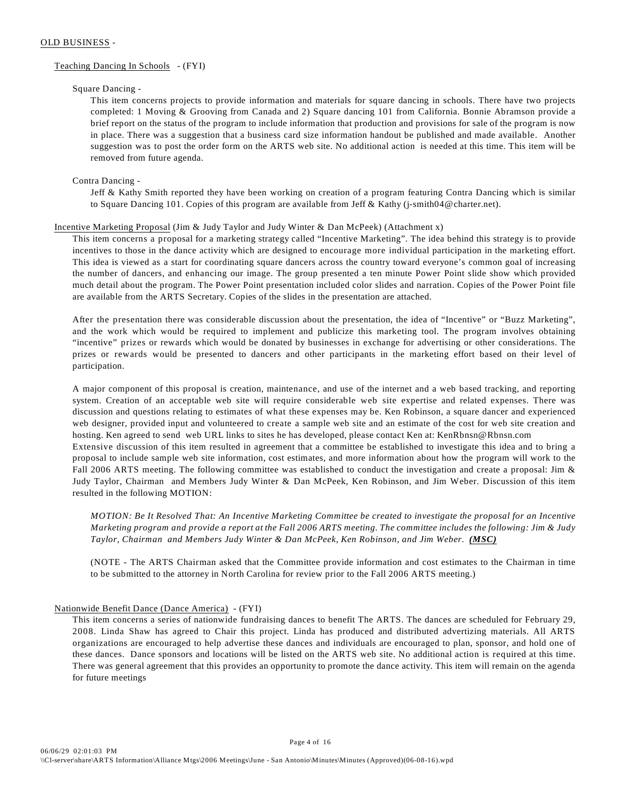# OLD BUSINESS -

# Teaching Dancing In Schools - (FYI)

# Square Dancing -

This item concerns projects to provide information and materials for square dancing in schools. There have two projects completed: 1 Moving & Grooving from Canada and 2) Square dancing 101 from California. Bonnie Abramson provide a brief report on the status of the program to include information that production and provisions for sale of the program is now in place. There was a suggestion that a business card size information handout be published and made available. Another suggestion was to post the order form on the ARTS web site. No additional action is needed at this time. This item will be removed from future agenda.

# Contra Dancing -

Jeff & Kathy Smith reported they have been working on creation of a program featuring Contra Dancing which is similar to Square Dancing 101. Copies of this program are available from Jeff & Kathy (j-smith04@charter.net).

# Incentive Marketing Proposal (Jim & Judy Taylor and Judy Winter & Dan McPeek) (Attachment x)

This item concerns a proposal for a marketing strategy called "Incentive Marketing". The idea behind this strategy is to provide incentives to those in the dance activity which are designed to encourage more individual participation in the marketing effort. This idea is viewed as a start for coordinating square dancers across the country toward everyone's common goal of increasing the number of dancers, and enhancing our image. The group presented a ten minute Power Point slide show which provided much detail about the program. The Power Point presentation included color slides and narration. Copies of the Power Point file are available from the ARTS Secretary. Copies of the slides in the presentation are attached.

After the presentation there was considerable discussion about the presentation, the idea of "Incentive" or "Buzz Marketing", and the work which would be required to implement and publicize this marketing tool. The program involves obtaining "incentive" prizes or rewards which would be donated by businesses in exchange for advertising or other considerations. The prizes or rewards would be presented to dancers and other participants in the marketing effort based on their level of participation.

A major component of this proposal is creation, maintenance, and use of the internet and a web based tracking, and reporting system. Creation of an acceptable web site will require considerable web site expertise and related expenses. There was discussion and questions relating to estimates of what these expenses may be. Ken Robinson, a square dancer and experienced web designer, provided input and volunteered to create a sample web site and an estimate of the cost for web site creation and hosting. Ken agreed to send web URL links to sites he has developed, please contact Ken at: KenRbnsn@Rbnsn.com Extensive discussion of this item resulted in agreement that a committee be established to investigate this idea and to bring a proposal to include sample web site information, cost estimates, and more information about how the program will work to the Fall 2006 ARTS meeting. The following committee was established to conduct the investigation and create a proposal: Jim & Judy Taylor, Chairman and Members Judy Winter & Dan McPeek, Ken Robinson, and Jim Weber. Discussion of this item resulted in the following MOTION:

*MOTION: Be It Resolved That: An Incentive Marketing Committee be created to investigate the proposal for an Incentive Marketing program and provide a report at the Fall 2006 ARTS meeting. The committee includes the following: Jim & Judy Taylor, Chairman and Members Judy Winter & Dan McPeek, Ken Robinson, and Jim Weber. (MSC)* 

(NOTE - The ARTS Chairman asked that the Committee provide information and cost estimates to the Chairman in time to be submitted to the attorney in North Carolina for review prior to the Fall 2006 ARTS meeting.)

# Nationwide Benefit Dance (Dance America) - (FYI)

This item concerns a series of nationwide fundraising dances to benefit The ARTS. The dances are scheduled for February 29, 2008. Linda Shaw has agreed to Chair this project. Linda has produced and distributed advertizing materials. All ARTS organizations are encouraged to help advertise these dances and individuals are encouraged to plan, sponsor, and hold one of these dances. Dance sponsors and locations will be listed on the ARTS web site. No additional action is required at this time. There was general agreement that this provides an opportunity to promote the dance activity. This item will remain on the agenda for future meetings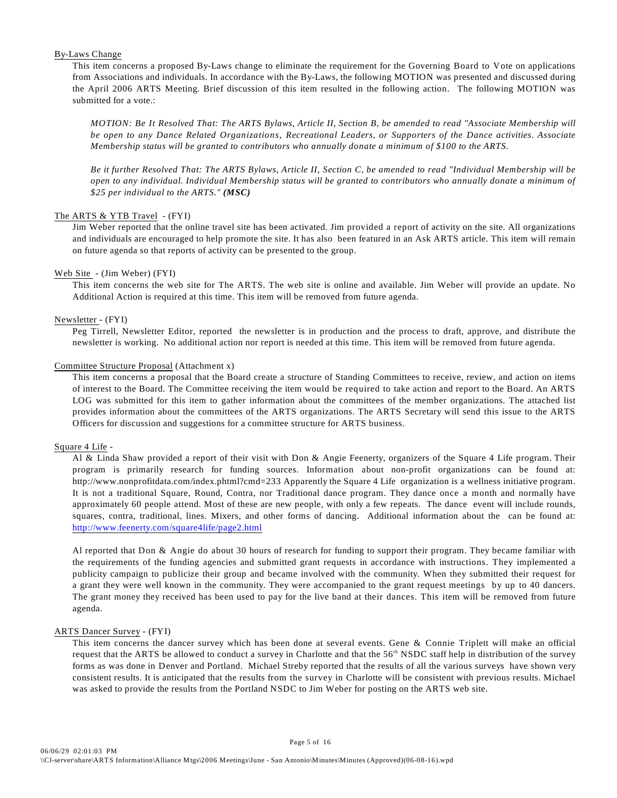# By-Laws Change

This item concerns a proposed By-Laws change to eliminate the requirement for the Governing Board to Vote on applications from Associations and individuals. In accordance with the By-Laws, the following MOTION was presented and discussed during the April 2006 ARTS Meeting. Brief discussion of this item resulted in the following action. The following MOTION was submitted for a vote.:

*MOTION: Be It Resolved That: The ARTS Bylaws, Article II, Section B, be amended to read "Associate Membership will be open to any Dance Related Organizations, Recreational Leaders, or Supporters of the Dance activities. Associate Membership status will be granted to contributors who annually donate a minimum of \$100 to the ARTS.*

*Be it further Resolved That: The ARTS Bylaws, Article II, Section C, be amended to read "Individual Membership will be open to any individual. Individual Membership status will be granted to contributors who annually donate a minimum of \$25 per individual to the ARTS." (MSC)*

# The ARTS & YTB Travel - (FYI)

Jim Weber reported that the online travel site has been activated. Jim provided a report of activity on the site. All organizations and individuals are encouraged to help promote the site. It has also been featured in an Ask ARTS article. This item will remain on future agenda so that reports of activity can be presented to the group.

# Web Site - (Jim Weber) (FYI)

This item concerns the web site for The ARTS. The web site is online and available. Jim Weber will provide an update. No Additional Action is required at this time. This item will be removed from future agenda.

# Newsletter - (FYI)

Peg Tirrell, Newsletter Editor, reported the newsletter is in production and the process to draft, approve, and distribute the newsletter is working. No additional action nor report is needed at this time. This item will be removed from future agenda.

# Committee Structure Proposal (Attachment x)

This item concerns a proposal that the Board create a structure of Standing Committees to receive, review, and action on items of interest to the Board. The Committee receiving the item would be required to take action and report to the Board. An ARTS LOG was submitted for this item to gather information about the committees of the member organizations. The attached list provides information about the committees of the ARTS organizations. The ARTS Secretary will send this issue to the ARTS Officers for discussion and suggestions for a committee structure for ARTS business.

# Square 4 Life -

 Al & Linda Shaw provided a report of their visit with Don & Angie Feenerty, organizers of the Square 4 Life program. Their program is primarily research for funding sources. Information about non-profit organizations can be found at: http://www.nonprofitdata.com/index.phtml?cmd=233 Apparently the Square 4 Life organization is a wellness initiative program. It is not a traditional Square, Round, Contra, nor Traditional dance program. They dance once a month and normally have approximately 60 people attend. Most of these are new people, with only a few repeats. The dance event will include rounds, squares, contra, traditional, lines. Mixers, and other forms of dancing. Additional information about the can be found at: [http://www.feenerty.com/square4life/page2.html](http://www.feenerty.com/square4life/page2.html.)

Al reported that Don & Angie do about 30 hours of research for funding to support their program. They became familiar with the requirements of the funding agencies and submitted grant requests in accordance with instructions. They implemented a publicity campaign to publicize their group and became involved with the community. When they submitted their request for a grant they were well known in the community. They were accompanied to the grant request meetings by up to 40 dancers. The grant money they received has been used to pay for the live band at their dances. This item will be removed from future agenda.

# ARTS Dancer Survey - (FYI)

This item concerns the dancer survey which has been done at several events. Gene & Connie Triplett will make an official request that the ARTS be allowed to conduct a survey in Charlotte and that the 56<sup>th</sup> NSDC staff help in distribution of the survey forms as was done in Denver and Portland. Michael Streby reported that the results of all the various surveys have shown very consistent results. It is anticipated that the results from the survey in Charlotte will be consistent with previous results. Michael was asked to provide the results from the Portland NSDC to Jim Weber for posting on the ARTS web site.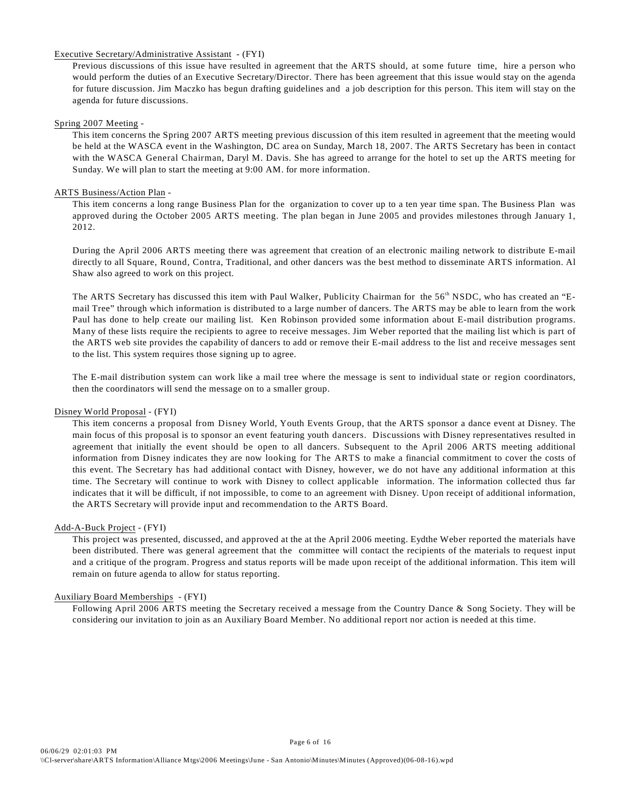# Executive Secretary/Administrative Assistant - (FYI)

Previous discussions of this issue have resulted in agreement that the ARTS should, at some future time, hire a person who would perform the duties of an Executive Secretary/Director. There has been agreement that this issue would stay on the agenda for future discussion. Jim Maczko has begun drafting guidelines and a job description for this person. This item will stay on the agenda for future discussions.

# Spring 2007 Meeting -

This item concerns the Spring 2007 ARTS meeting previous discussion of this item resulted in agreement that the meeting would be held at the WASCA event in the Washington, DC area on Sunday, March 18, 2007. The ARTS Secretary has been in contact with the WASCA General Chairman, Daryl M. Davis. She has agreed to arrange for the hotel to set up the ARTS meeting for Sunday. We will plan to start the meeting at 9:00 AM. for more information.

#### ARTS Business/Action Plan -

This item concerns a long range Business Plan for the organization to cover up to a ten year time span. The Business Plan was approved during the October 2005 ARTS meeting. The plan began in June 2005 and provides milestones through January 1, 2012.

During the April 2006 ARTS meeting there was agreement that creation of an electronic mailing network to distribute E-mail directly to all Square, Round, Contra, Traditional, and other dancers was the best method to disseminate ARTS information. Al Shaw also agreed to work on this project.

The ARTS Secretary has discussed this item with Paul Walker, Publicity Chairman for the 56<sup>th</sup> NSDC, who has created an "Email Tree" through which information is distributed to a large number of dancers. The ARTS may be able to learn from the work Paul has done to help create our mailing list. Ken Robinson provided some information about E-mail distribution programs. Many of these lists require the recipients to agree to receive messages. Jim Weber reported that the mailing list which is part of the ARTS web site provides the capability of dancers to add or remove their E-mail address to the list and receive messages sent to the list. This system requires those signing up to agree.

The E-mail distribution system can work like a mail tree where the message is sent to individual state or region coordinators, then the coordinators will send the message on to a smaller group.

# Disney World Proposal - (FYI)

This item concerns a proposal from Disney World, Youth Events Group, that the ARTS sponsor a dance event at Disney. The main focus of this proposal is to sponsor an event featuring youth dancers. Discussions with Disney representatives resulted in agreement that initially the event should be open to all dancers. Subsequent to the April 2006 ARTS meeting additional information from Disney indicates they are now looking for The ARTS to make a financial commitment to cover the costs of this event. The Secretary has had additional contact with Disney, however, we do not have any additional information at this time. The Secretary will continue to work with Disney to collect applicable information. The information collected thus far indicates that it will be difficult, if not impossible, to come to an agreement with Disney. Upon receipt of additional information, the ARTS Secretary will provide input and recommendation to the ARTS Board.

#### Add-A-Buck Project - (FYI)

This project was presented, discussed, and approved at the at the April 2006 meeting. Eydthe Weber reported the materials have been distributed. There was general agreement that the committee will contact the recipients of the materials to request input and a critique of the program. Progress and status reports will be made upon receipt of the additional information. This item will remain on future agenda to allow for status reporting.

# Auxiliary Board Memberships - (FYI)

Following April 2006 ARTS meeting the Secretary received a message from the Country Dance & Song Society. They will be considering our invitation to join as an Auxiliary Board Member. No additional report nor action is needed at this time.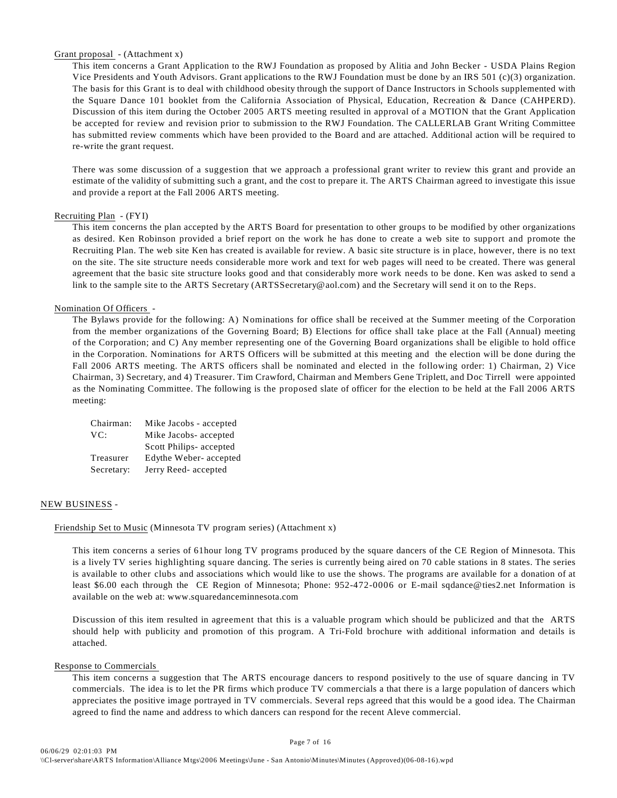# Grant proposal - (Attachment x)

This item concerns a Grant Application to the RWJ Foundation as proposed by Alitia and John Becker - USDA Plains Region Vice Presidents and Youth Advisors. Grant applications to the RWJ Foundation must be done by an IRS 501 (c)(3) organization. The basis for this Grant is to deal with childhood obesity through the support of Dance Instructors in Schools supplemented with the Square Dance 101 booklet from the California Association of Physical, Education, Recreation & Dance (CAHPERD). Discussion of this item during the October 2005 ARTS meeting resulted in approval of a MOTION that the Grant Application be accepted for review and revision prior to submission to the RWJ Foundation. The CALLERLAB Grant Writing Committee has submitted review comments which have been provided to the Board and are attached. Additional action will be required to re-write the grant request.

There was some discussion of a suggestion that we approach a professional grant writer to review this grant and provide an estimate of the validity of submitting such a grant, and the cost to prepare it. The ARTS Chairman agreed to investigate this issue and provide a report at the Fall 2006 ARTS meeting.

# Recruiting Plan - (FYI)

This item concerns the plan accepted by the ARTS Board for presentation to other groups to be modified by other organizations as desired. Ken Robinson provided a brief report on the work he has done to create a web site to support and promote the Recruiting Plan. The web site Ken has created is available for review. A basic site structure is in place, however, there is no text on the site. The site structure needs considerable more work and text for web pages will need to be created. There was general agreement that the basic site structure looks good and that considerably more work needs to be done. Ken was asked to send a link to the sample site to the ARTS Secretary (ARTSSecretary@aol.com) and the Secretary will send it on to the Reps.

#### Nomination Of Officers -

The Bylaws provide for the following: A) Nominations for office shall be received at the Summer meeting of the Corporation from the member organizations of the Governing Board; B) Elections for office shall take place at the Fall (Annual) meeting of the Corporation; and C) Any member representing one of the Governing Board organizations shall be eligible to hold office in the Corporation. Nominations for ARTS Officers will be submitted at this meeting and the election will be done during the Fall 2006 ARTS meeting. The ARTS officers shall be nominated and elected in the following order: 1) Chairman, 2) Vice Chairman, 3) Secretary, and 4) Treasurer. Tim Crawford, Chairman and Members Gene Triplett, and Doc Tirrell were appointed as the Nominating Committee. The following is the proposed slate of officer for the election to be held at the Fall 2006 ARTS meeting:

| Chairman:  | Mike Jacobs - accepted  |
|------------|-------------------------|
| VC:        | Mike Jacobs- accepted   |
|            | Scott Philips- accepted |
| Treasurer  | Edythe Weber-accepted   |
| Secretary: | Jerry Reed-accepted     |

# NEW BUSINESS -

# Friendship Set to Music (Minnesota TV program series) (Attachment x)

This item concerns a series of 61hour long TV programs produced by the square dancers of the CE Region of Minnesota. This is a lively TV series highlighting square dancing. The series is currently being aired on 70 cable stations in 8 states. The series is available to other clubs and associations which would like to use the shows. The programs are available for a donation of at least \$6.00 each through the CE Region of Minnesota; Phone: 952-472-0006 or E-mail sqdance@ties2.net Information is available on the web at: www.squaredanceminnesota.com

Discussion of this item resulted in agreement that this is a valuable program which should be publicized and that the ARTS should help with publicity and promotion of this program. A Tri-Fold brochure with additional information and details is attached.

#### Response to Commercials

This item concerns a suggestion that The ARTS encourage dancers to respond positively to the use of square dancing in TV commercials. The idea is to let the PR firms which produce TV commercials a that there is a large population of dancers which appreciates the positive image portrayed in TV commercials. Several reps agreed that this would be a good idea. The Chairman agreed to find the name and address to which dancers can respond for the recent Aleve commercial.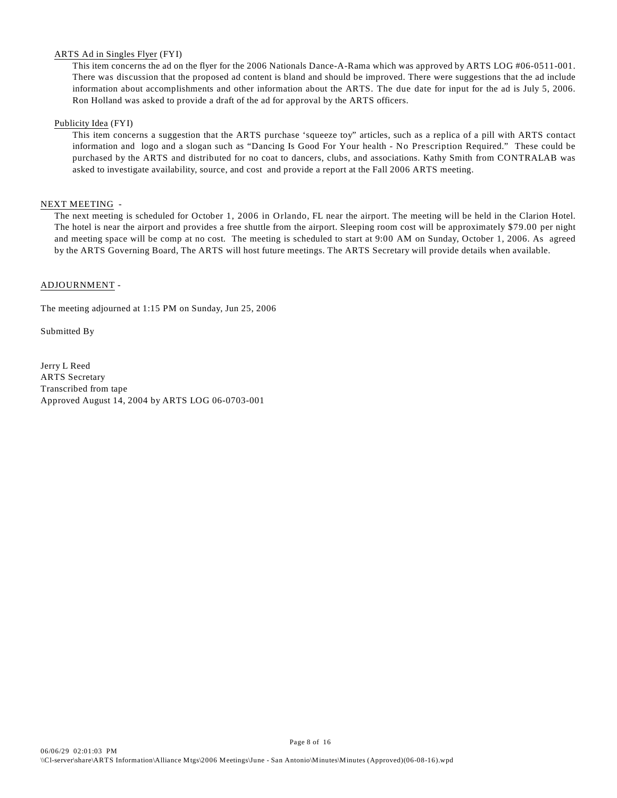# ARTS Ad in Singles Flyer (FYI)

This item concerns the ad on the flyer for the 2006 Nationals Dance-A-Rama which was approved by ARTS LOG #06-0511-001. There was discussion that the proposed ad content is bland and should be improved. There were suggestions that the ad include information about accomplishments and other information about the ARTS. The due date for input for the ad is July 5, 2006. Ron Holland was asked to provide a draft of the ad for approval by the ARTS officers.

# Publicity Idea (FYI)

This item concerns a suggestion that the ARTS purchase 'squeeze toy" articles, such as a replica of a pill with ARTS contact information and logo and a slogan such as "Dancing Is Good For Your health - No Prescription Required." These could be purchased by the ARTS and distributed for no coat to dancers, clubs, and associations. Kathy Smith from CONTRALAB was asked to investigate availability, source, and cost and provide a report at the Fall 2006 ARTS meeting.

# NEXT MEETING -

The next meeting is scheduled for October 1, 2006 in Orlando, FL near the airport. The meeting will be held in the Clarion Hotel. The hotel is near the airport and provides a free shuttle from the airport. Sleeping room cost will be approximately \$79.00 per night and meeting space will be comp at no cost. The meeting is scheduled to start at 9:00 AM on Sunday, October 1, 2006. As agreed by the ARTS Governing Board, The ARTS will host future meetings. The ARTS Secretary will provide details when available.

# ADJOURNMENT -

The meeting adjourned at 1:15 PM on Sunday, Jun 25, 2006

Submitted By

Jerry L Reed ARTS Secretary Transcribed from tape Approved August 14, 2004 by ARTS LOG 06-0703-001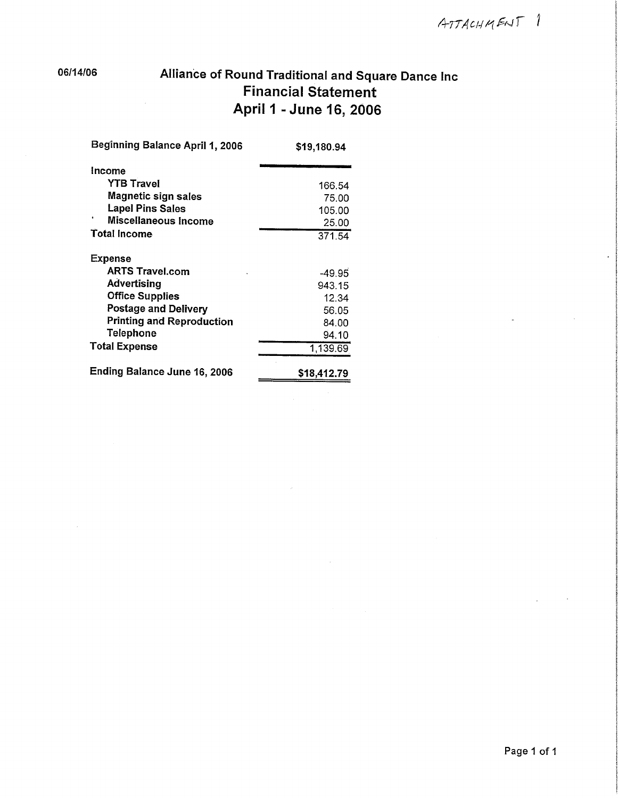06/14/06

# Alliance of Round Traditional and Square Dance Inc **Financial Statement** April 1 - June 16, 2006

| Beginning Balance April 1, 2006  | \$19,180.94 |
|----------------------------------|-------------|
| Income                           |             |
| <b>YTB Travel</b>                | 166.54      |
| <b>Magnetic sign sales</b>       | 75.00       |
| <b>Lapel Pins Sales</b>          | 105.00      |
| Miscellaneous Income             | 25.00       |
| <b>Total Income</b>              | 371.54      |
| <b>Expense</b>                   |             |
| <b>ARTS Travel.com</b>           | $-49.95$    |
| Advertising                      | 943.15      |
| <b>Office Supplies</b>           | 12.34       |
| <b>Postage and Delivery</b>      | 56.05       |
| <b>Printing and Reproduction</b> | 84.00       |
| <b>Telephone</b>                 | 94.10       |
| <b>Total Expense</b>             | 1,139.69    |
| Ending Balance June 16, 2006     | \$18,412.79 |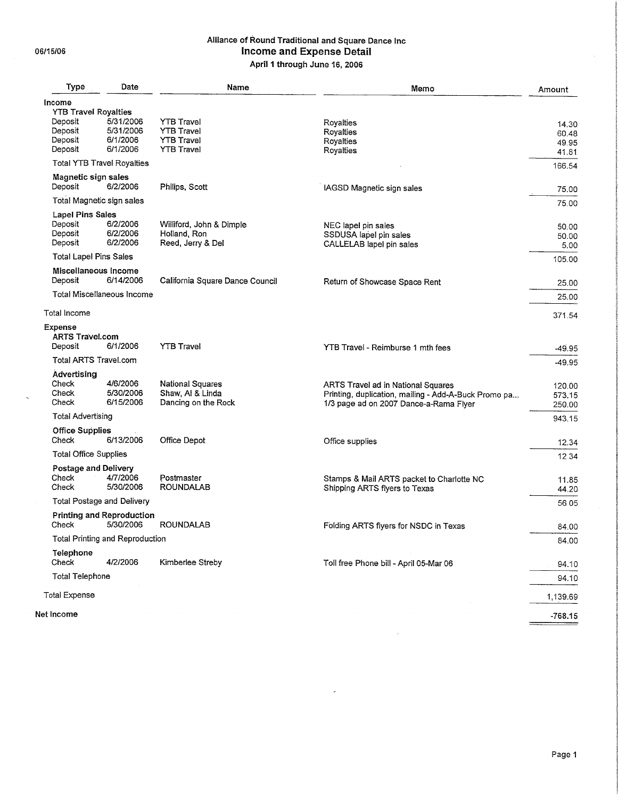$\ddot{\phantom{0}}$ 

# Alliance of Round Traditional and Square Dance Inc Income and Expense Detail April 1 through June 16, 2006

| Type                                                                    | Date                                           | Name                                                                             | Memo                                                                                                                                 | Amount                           |
|-------------------------------------------------------------------------|------------------------------------------------|----------------------------------------------------------------------------------|--------------------------------------------------------------------------------------------------------------------------------------|----------------------------------|
| Income                                                                  |                                                |                                                                                  |                                                                                                                                      |                                  |
| <b>YTB Travel Royalties</b><br>Deposit<br>Deposit<br>Deposit<br>Deposit | 5/31/2006<br>5/31/2006<br>6/1/2006<br>6/1/2006 | <b>YTB Travel</b><br><b>YTB Travel</b><br><b>YTB Travel</b><br><b>YTB Travel</b> | Royalties<br>Royalties<br>Royalties<br>Royalties                                                                                     | 14.30<br>60.48<br>49.95<br>41.81 |
|                                                                         | <b>Total YTB Travel Royalties</b>              |                                                                                  |                                                                                                                                      | 166,54                           |
| Magnetic sign sales<br>Deposit                                          | 6/2/2006                                       | Philips, Scott                                                                   | IAGSD Magnetic sign sales                                                                                                            | 75.00                            |
|                                                                         | Total Magnetic sign sales                      |                                                                                  |                                                                                                                                      | 75.00                            |
| <b>Lapel Pins Sales</b><br>Deposit<br>Deposit<br>Deposit                | 6/2/2006<br>6/2/2006<br>6/2/2006               | Williford, John & Dimple<br>Holland, Ron<br>Reed, Jerry & Del                    | NEC lapel pin sales<br>SSDUSA lapel pin sales<br>CALLELAB lapel pin sales                                                            | 50.00<br>50.00<br>5.00           |
| <b>Total Lapel Pins Sales</b>                                           |                                                |                                                                                  |                                                                                                                                      | 105.00                           |
| Miscellaneous Income<br>Deposit                                         | 6/14/2006                                      | California Square Dance Council                                                  | Return of Showcase Space Rent                                                                                                        | 25.00                            |
|                                                                         | Total Miscellaneous Income                     |                                                                                  |                                                                                                                                      | 25.00                            |
| Total Income                                                            |                                                |                                                                                  |                                                                                                                                      | 371.54                           |
| Expense<br><b>ARTS Travel.com</b><br>Deposit                            | 6/1/2006                                       | <b>YTB Travel</b>                                                                | YTB Travel - Reimburse 1 mth fees                                                                                                    |                                  |
| <b>Total ARTS Travel.com</b>                                            |                                                |                                                                                  |                                                                                                                                      | $-49.95$                         |
| Advertising                                                             |                                                |                                                                                  |                                                                                                                                      | $-49.95$                         |
| Check<br>Check<br>Check                                                 | 4/6/2006<br>5/30/2006<br>6/15/2006             | <b>National Squares</b><br>Shaw, Al & Linda<br>Dancing on the Rock               | ARTS Travel ad in National Squares<br>Printing, duplication, mailing - Add-A-Buck Promo pa<br>1/3 page ad on 2007 Dance-a-Rama Flyer | 120.00<br>573.15<br>250.00       |
| <b>Total Advertising</b>                                                |                                                |                                                                                  |                                                                                                                                      | 943.15                           |
| <b>Office Supplies</b><br>Check                                         | 6/13/2006                                      | Office Depot                                                                     | Office supplies                                                                                                                      | 12.34                            |
| <b>Total Office Supplies</b>                                            |                                                |                                                                                  |                                                                                                                                      | 12.34                            |
| Postage and Delivery<br>Check<br>Check                                  | 4/7/2006<br>5/30/2006                          | Postmaster<br><b>ROUNDALAB</b>                                                   | Stamps & Mail ARTS packet to Charlotte NC                                                                                            | 11.85                            |
|                                                                         | Total Postage and Delivery                     |                                                                                  | Shipping ARTS flyers to Texas                                                                                                        | 44.20<br>56.05                   |
|                                                                         | <b>Printing and Reproduction</b>               |                                                                                  |                                                                                                                                      |                                  |
| Check                                                                   | 5/30/2006                                      | <b>ROUNDALAB</b>                                                                 | Folding ARTS flyers for NSDC in Texas                                                                                                | 84.00                            |
|                                                                         | <b>Total Printing and Reproduction</b>         |                                                                                  |                                                                                                                                      | 84.00                            |
| Telephone<br>Check                                                      | 4/2/2006                                       | Kimberlee Streby                                                                 | Toll free Phone bill - April 05-Mar 06                                                                                               | 94.10                            |
| <b>Total Telephone</b>                                                  |                                                |                                                                                  |                                                                                                                                      | 94.10                            |
| <b>Total Expense</b>                                                    |                                                |                                                                                  |                                                                                                                                      | 1,139.69                         |
| Net Income                                                              |                                                |                                                                                  |                                                                                                                                      | $-768.15$                        |

 $\mathcal{L}_{\mathrm{c}}$ 

 $\overline{a}$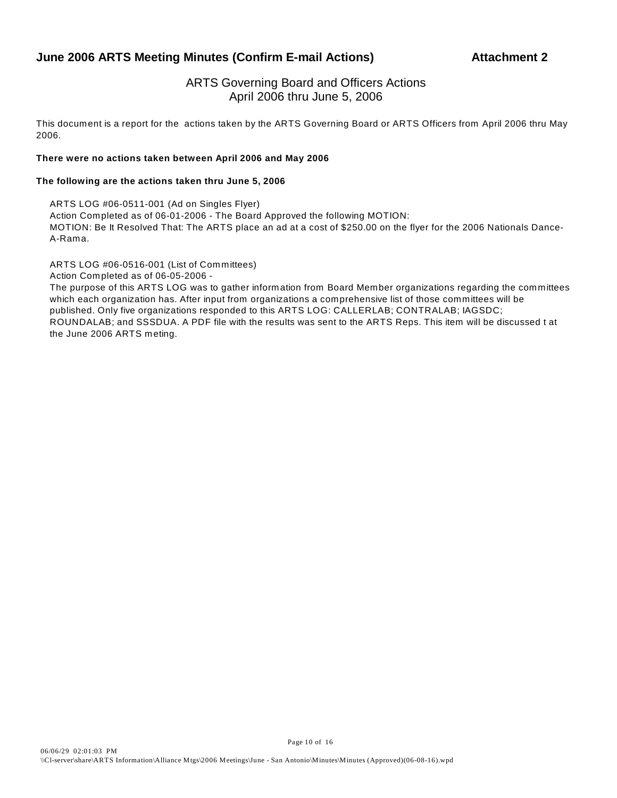# **June 2006 ARTS Meeting Minutes (Confirm E-mail Actions) Attachment 2**

# ARTS Governing Board and Officers Actions April 2006 thru June 5, 2006

This document is a report for the actions taken by the ARTS Governing Board or ARTS Officers from April 2006 thru May 2006.

# **There were no actions taken between April 2006 and May 2006**

# **The following are the actions taken thru June 5, 2006**

ARTS LOG #06-0511-001 (Ad on Singles Flyer) Action Completed as of 06-01-2006 - The Board Approved the following MOTION: MOTION: Be It Resolved That: The ARTS place an ad at a cost of \$250.00 on the flyer for the 2006 Nationals Dance-A-Rama.

ARTS LOG #06-0516-001 (List of Committees)

Action Completed as of 06-05-2006 -

The purpose of this ARTS LOG was to gather information from Board Member organizations regarding the committees which each organization has. After input from organizations a comprehensive list of those committees will be published. Only five organizations responded to this ARTS LOG: CALLERLAB; CONTRALAB; IAGSDC; ROUNDALAB; and SSSDUA. A PDF file with the results was sent to the ARTS Reps. This item will be discussed t at the June 2006 ARTS meting.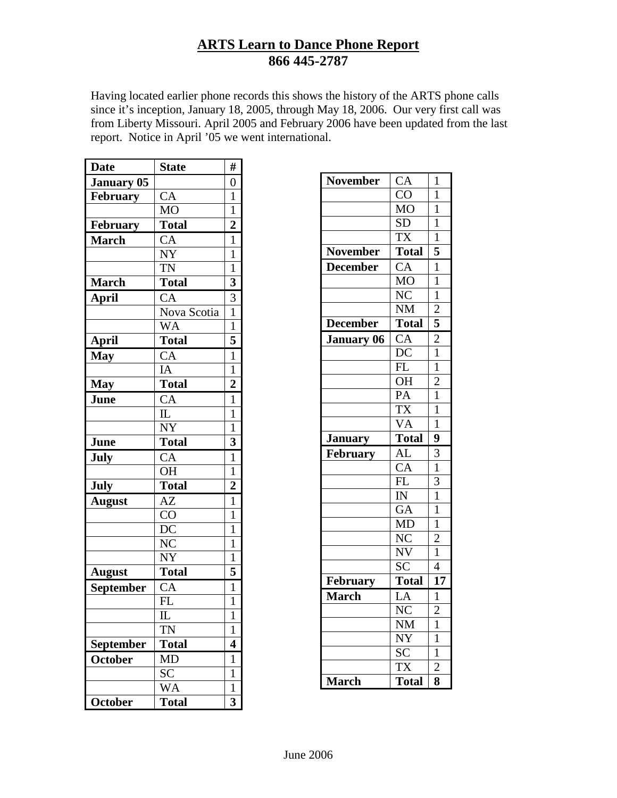# **ARTS Learn to Dance Phone Report 866 445-2787**

Having located earlier phone records this shows the history of the ARTS phone calls since it's inception, January 18, 2005, through May 18, 2006. Our very first call was from Liberty Missouri. April 2005 and February 2006 have been updated from the last report. Notice in April '05 we went international.

| <b>Date</b>       | <b>State</b>                    | #                       |
|-------------------|---------------------------------|-------------------------|
| <b>January 05</b> |                                 | $\overline{0}$          |
| <b>February</b>   | CA                              | $\mathbf{1}$            |
|                   | <b>MO</b>                       | 1                       |
| February          | <b>Total</b>                    | $\overline{2}$          |
| <b>March</b>      | CA                              | $\mathbf{1}$            |
|                   | NY                              | $\overline{1}$          |
|                   | <b>TN</b>                       | $\mathbf{1}$            |
| <b>March</b>      | <b>Total</b>                    | $\overline{\mathbf{3}}$ |
| <b>April</b>      | CA                              | $rac{3}{1}$             |
|                   | Nova Scotia                     |                         |
|                   | WA                              | $\overline{1}$          |
| <b>April</b>      | <b>Total</b>                    | 5                       |
| <b>May</b>        | $\overline{CA}$                 | $\overline{1}$          |
|                   | IA                              | 1                       |
| <b>May</b>        | <b>Total</b>                    | $\overline{c}$          |
| June              | CA                              | $\overline{1}$          |
|                   | $\mathbb{L}$                    | $\mathbf{1}$            |
|                   | <b>NY</b>                       | $\mathbf 1$             |
| June              | <b>Total</b>                    | 3                       |
| <b>July</b>       | CA                              | $\overline{1}$          |
|                   | <b>OH</b>                       | $\mathbf{1}$            |
| July              | <b>Total</b>                    | $\overline{2}$          |
| <b>August</b>     | AZ                              | $\mathbf{1}$            |
|                   | CO                              | 1                       |
|                   | DC                              | $\mathbf{1}$            |
|                   | N <sub>C</sub>                  | $\mathbf{1}$            |
|                   | NY                              | $\mathbf{1}$            |
| <b>August</b>     | <b>Total</b>                    | 5                       |
| <b>September</b>  | CA                              | $\mathbf{1}$            |
|                   | FL                              | $\mathbf{1}$            |
|                   | $\mathop{\mathrm{IL}}\nolimits$ | 1                       |
|                   | TN <sub></sub>                  | 1                       |
| September         | <b>Total</b>                    | 4                       |
| <b>October</b>    | <b>MD</b>                       | 1                       |
|                   | <b>SC</b>                       | $\mathbf{1}$            |
|                   | WA                              | 1                       |
| October           | <b>Total</b>                    | $\overline{\mathbf{3}}$ |

| <b>November</b>   | CA                      | $\mathbf{1}$              |
|-------------------|-------------------------|---------------------------|
|                   | $\overline{C}O$         | $\mathbf{1}$              |
|                   | <b>MO</b>               | $\mathbf{1}$              |
|                   | <b>SD</b>               | $\mathbf{1}$              |
|                   | $\overline{\text{TX}}$  | $\mathbf{1}$              |
| <b>November</b>   | Total                   | $\overline{\overline{5}}$ |
| <b>December</b>   | $\overline{CA}$         | $\mathbf{1}$              |
|                   | <b>MO</b>               | $\overline{1}$            |
|                   | N <sub>C</sub>          | $\overline{1}$            |
|                   | <b>NM</b>               | $\overline{c}$            |
| <b>December</b>   | Total                   |                           |
| <b>January 06</b> | CA                      | $\frac{5}{2}$             |
|                   | DC                      | $\overline{1}$            |
|                   | FL                      | $\mathbf{1}$              |
|                   | <b>OH</b>               | $\overline{2}$            |
|                   | PA                      | $\overline{1}$            |
|                   | $\overline{\text{TX}}$  | $\mathbf{1}$              |
|                   | <b>VA</b>               | $\overline{1}$            |
| <b>January</b>    | <b>Total</b>            | 9                         |
| February          | $\overline{AL}$         | $\overline{3}$            |
|                   | CA                      | $\mathbf{1}$              |
|                   | FL                      | $\overline{3}$            |
|                   | $\overline{\mathbb{N}}$ | $\mathbf{1}$              |
|                   | $\overline{GA}$         | $\overline{1}$            |
|                   | <b>MD</b>               | $\mathbf{1}$              |
|                   | $\rm \bar{N}C$          | $\overline{c}$            |
|                   | NV                      | $\mathbf{1}$              |
|                   | SC                      | $\overline{4}$            |
| February          | <b>Total</b>            | 17                        |
| <b>March</b>      | LA                      | $\mathbf{1}$              |
|                   | N <sub>C</sub>          | $\overline{2}$            |
|                   | <b>NM</b>               | $\overline{1}$            |
|                   |                         |                           |
|                   | NY                      | $\mathbf{1}$              |
|                   | $\overline{SC}$         | $\overline{1}$            |
|                   | <b>TX</b>               | $\overline{2}$            |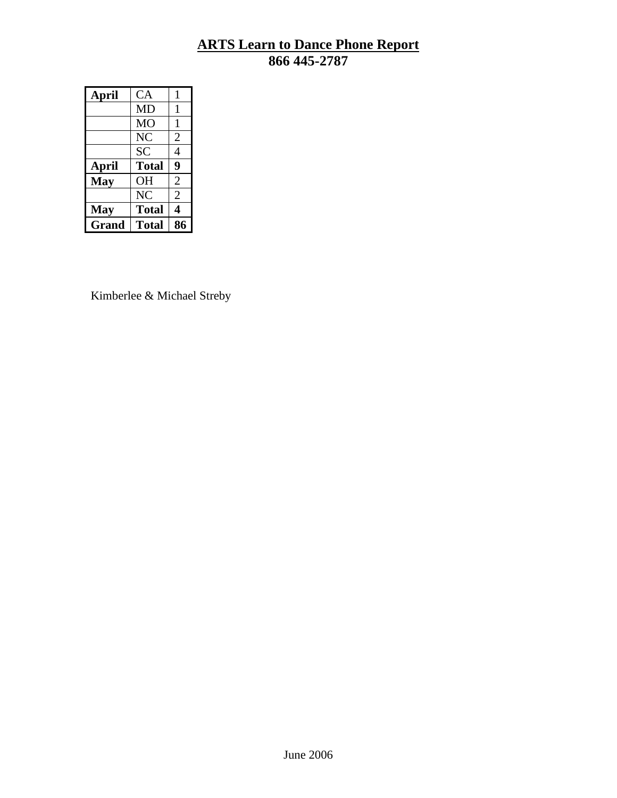# **ARTS Learn to Dance Phone Report 866 445-2787**

| April      | CA           | 1              |
|------------|--------------|----------------|
|            | <b>MD</b>    | 1              |
|            | МO           | 1              |
|            | NC           | $\overline{2}$ |
|            | <b>SC</b>    | 4              |
|            |              |                |
| April      | <b>Total</b> | 9              |
| <b>May</b> | <b>OH</b>    | $\overline{2}$ |
|            | NC           | $\overline{2}$ |
| <b>May</b> | <b>Total</b> | 4              |

Kimberlee & Michael Streby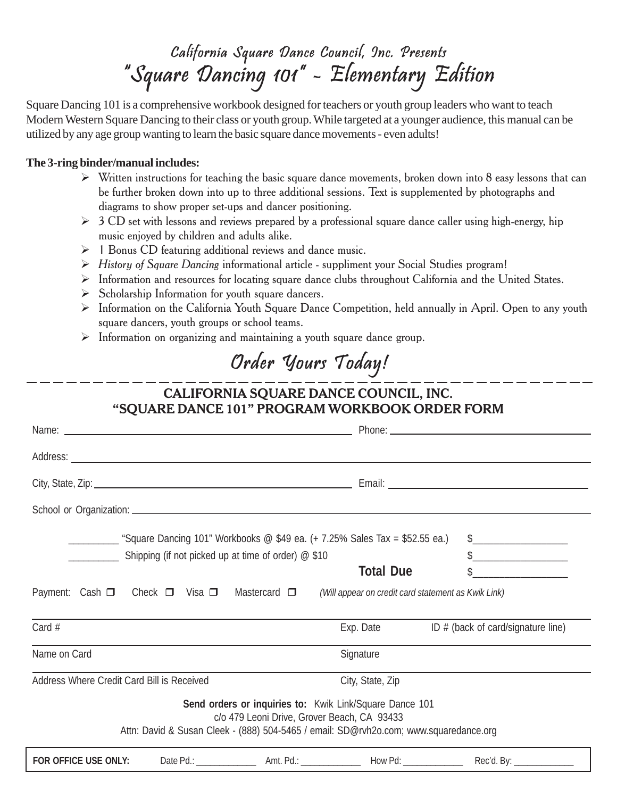# California Square Dance Council, Inc. Presents "Square Dancing 101" - Elementary Edition

Square Dancing 101 is a comprehensive workbook designed for teachers or youth group leaders who want to teach Modern Western Square Dancing to their class or youth group. While targeted at a younger audience, this manual can be utilized by any age group wanting to learn the basic square dance movements - even adults!

# **The 3-ring binder/manual includes:**

- $\triangleright$  Written instructions for teaching the basic square dance movements, broken down into 8 easy lessons that can be further broken down into up to three additional sessions. Text is supplemented by photographs and diagrams to show proper set-ups and dancer positioning.
- $\geq 3$  CD set with lessons and reviews prepared by a professional square dance caller using high-energy, hip music enjoyed by children and adults alike.
- $\triangleright$  1 Bonus CD featuring additional reviews and dance music.
- $\triangleright$  History of Square Dancing informational article suppliment your Social Studies program!
- $\triangleright$  Information and resources for locating square dance clubs throughout California and the United States.
- $\triangleright$  Scholarship Information for youth square dancers.
- $\triangleright$  Information on the California Youth Square Dance Competition, held annually in April. Open to any youth square dancers, youth groups or school teams.
- $\triangleright$  Information on organizing and maintaining a youth square dance group.

# Order Yours Today!

# CALIFORNIA SQUARE DANCE COUNCIL, INC. "SQUARE DANCE 101" PROGRAM WORKBOOK ORDER FORM

| Square Dancing 101" Workbooks @ \$49 ea. (+ 7.25% Sales Tax = \$52.55 ea.)<br>Shipping (if not picked up at time of order) @ \$10                                                               |                  | \$_______________________            |
|-------------------------------------------------------------------------------------------------------------------------------------------------------------------------------------------------|------------------|--------------------------------------|
|                                                                                                                                                                                                 | <b>Total Due</b> | $\sim$                               |
| Payment: Cash $\Box$ Check $\Box$ Visa $\Box$ Mastercard $\Box$ (Will appear on credit card statement as Kwik Link)                                                                             |                  |                                      |
| Card $#$                                                                                                                                                                                        | Exp. Date        | ID $#$ (back of card/signature line) |
| Name on Card                                                                                                                                                                                    | Signature        |                                      |
| Address Where Credit Card Bill is Received                                                                                                                                                      | City, State, Zip |                                      |
| Send orders or inquiries to: Kwik Link/Square Dance 101<br>c/o 479 Leoni Drive, Grover Beach, CA 93433<br>Attn: David & Susan Cleek - (888) 504-5465 / email: SD@rvh2o.com; www.squaredance.org |                  |                                      |
| <b>FOR OFFICE USE ONLY:</b>                                                                                                                                                                     |                  |                                      |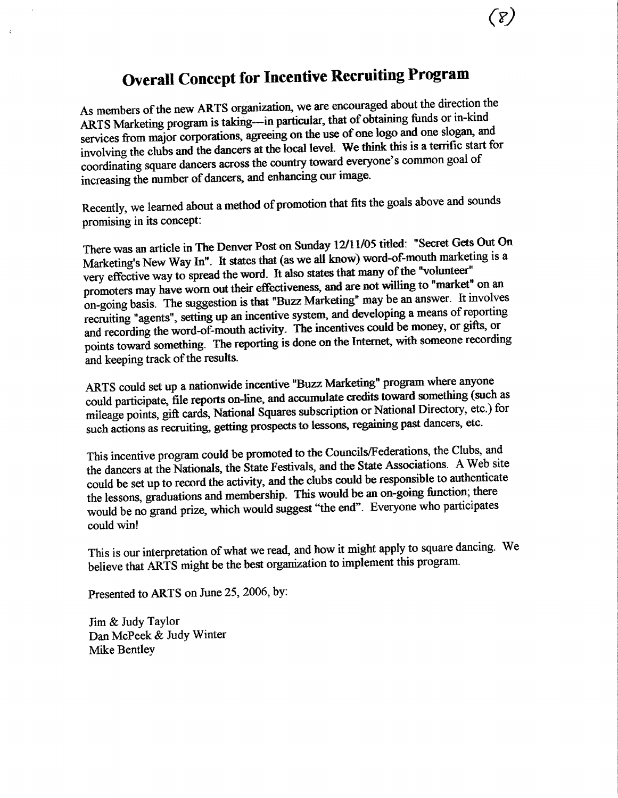# **Overall Concept for Incentive Recruiting Program**

As members of the new ARTS organization, we are encouraged about the direction the ARTS Marketing program is taking---in particular, that of obtaining funds or in-kind services from major corporations, agreeing on the use of one logo and one slogan, and involving the clubs and the dancers at the local level. We think this is a terrific start for coordinating square dancers across the country toward everyone's common goal of increasing the number of dancers, and enhancing our image.

Recently, we learned about a method of promotion that fits the goals above and sounds promising in its concept:

There was an article in The Denver Post on Sunday 12/11/05 titled: "Secret Gets Out On Marketing's New Way In". It states that (as we all know) word-of-mouth marketing is a very effective way to spread the word. It also states that many of the "volunteer" promoters may have worn out their effectiveness, and are not willing to "market" on an on-going basis. The suggestion is that "Buzz Marketing" may be an answer. It involves recruiting "agents", setting up an incentive system, and developing a means of reporting and recording the word-of-mouth activity. The incentives could be money, or gifts, or points toward something. The reporting is done on the Internet, with someone recording and keeping track of the results.

ARTS could set up a nationwide incentive "Buzz Marketing" program where anyone could participate, file reports on-line, and accumulate credits toward something (such as mileage points, gift cards, National Squares subscription or National Directory, etc.) for such actions as recruiting, getting prospects to lessons, regaining past dancers, etc.

This incentive program could be promoted to the Councils/Federations, the Clubs, and the dancers at the Nationals, the State Festivals, and the State Associations. A Web site could be set up to record the activity, and the clubs could be responsible to authenticate the lessons, graduations and membership. This would be an on-going function; there would be no grand prize, which would suggest "the end". Everyone who participates could win!

This is our interpretation of what we read, and how it might apply to square dancing. We believe that ARTS might be the best organization to implement this program.

Presented to ARTS on June 25, 2006, by:

Jim & Judy Taylor Dan McPeek & Judy Winter Mike Bentlev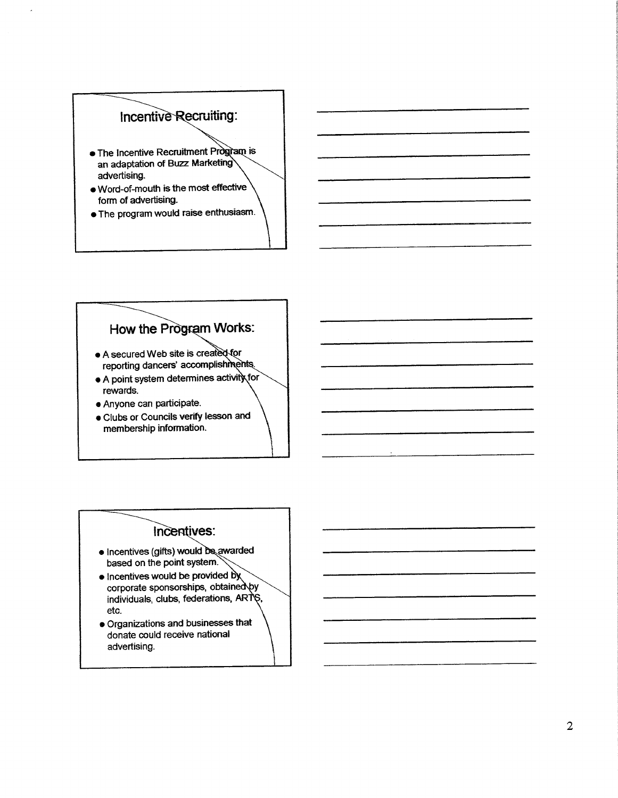# Incentive Recruiting:

- The Incentive Recruitment Program is an adaptation of Buzz Marketing advertising.
- . Word-of-mouth is the most effective form of advertising.
- . The program would raise enthusiasm.

# How the Program Works:

- A secured Web site is created for reporting dancers' accomplishments.
- A point system determines activity for rewards.
- Anyone can participate.
- . Clubs or Councils verify lesson and membership information.

# Incentives:

- · Incentives (gifts) would be awarded based on the point system.
- Incentives would be provided by<br>corporate sponsorships, obtained by individuals, clubs, federations, ARTS, etc.
- · Organizations and businesses that donate could receive national advertising.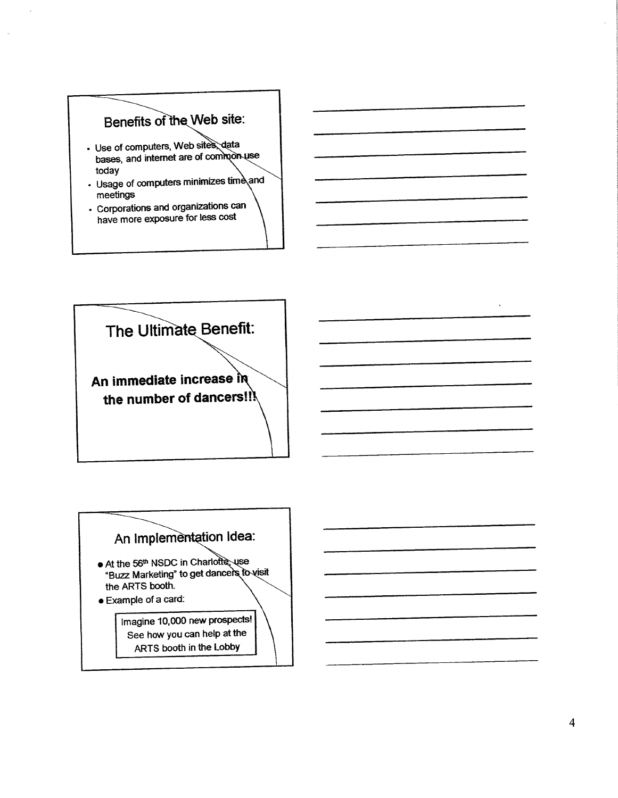# Benefits of the Web site:

- · Use of computers, Web sites, data bases, and internet are of common use today
- Usage of computers minimizes time and meetings
- · Corporations and organizations can have more exposure for less cost





 $\bar{u}$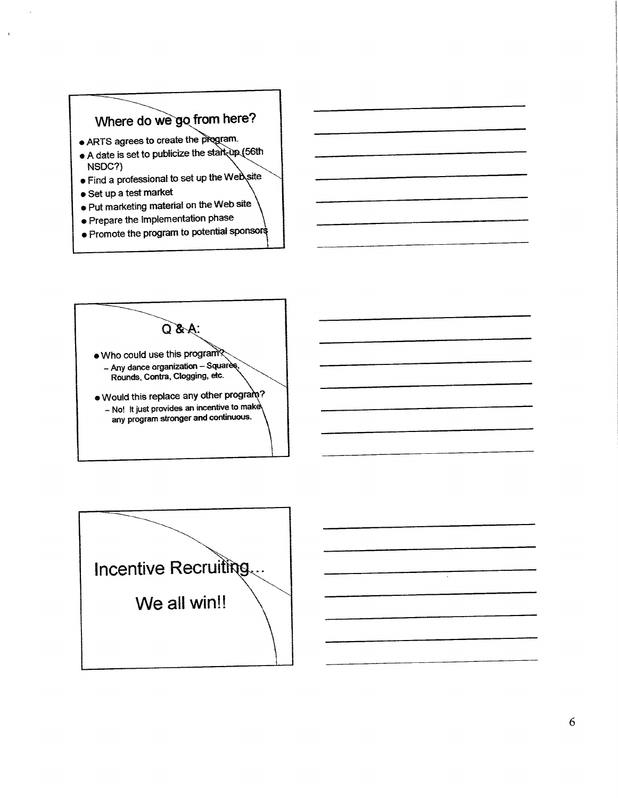# Where do we go from here?

- ARTS agrees to create the program.
- A date is set to publicize the start-up (56th NSDC?)
- . Find a professional to set up the Web site
- · Set up a test market
- . Put marketing material on the Web site
- · Prepare the Implementation phase
- . Promote the program to potential sponsors





 $\sim$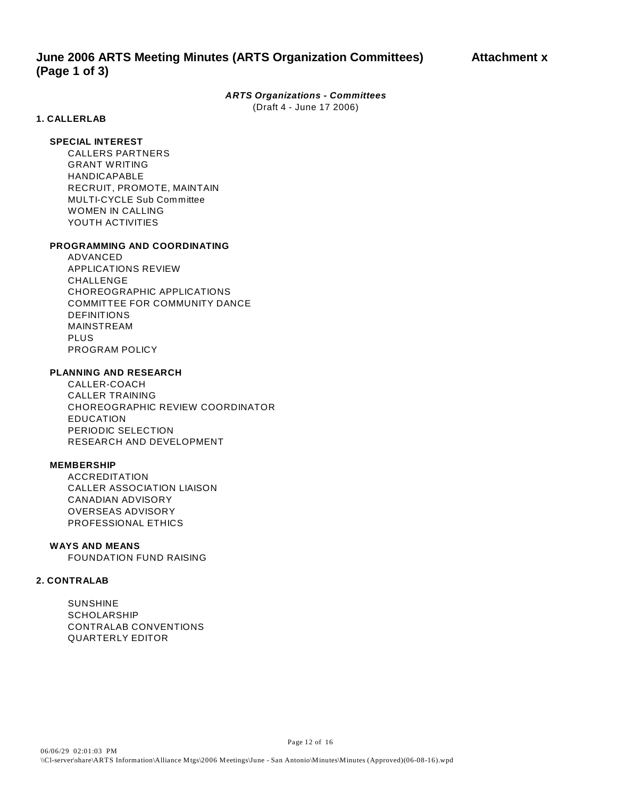# *ARTS Organizations - Committees*

(Draft 4 - June 17 2006)

# **1. CALLERLAB**

# **SPECIAL INTEREST**

CALLERS PARTNERS GRANT WRITING HANDICAPABLE RECRUIT, PROMOTE, MAINTAIN MULTI-CYCLE Sub Committee WOMEN IN CALLING YOUTH ACTIVITIES

# **PROGRAMMING AND COORDINATING**

ADVANCED APPLICATIONS REVIEW CHALL FNGF CHOREOGRAPHIC APPLICATIONS COMMITTEE FOR COMMUNITY DANCE DEFINITIONS MAINSTREAM PLUS PROGRAM POLICY

# **PLANNING AND RESEARCH**

CALLER-COACH CALLER TRAINING CHOREOGRAPHIC REVIEW COORDINATOR EDUCATION PERIODIC SELECTION RESEARCH AND DEVELOPMENT

# **MEMBERSHIP**

ACCREDITATION CALLER ASSOCIATION LIAISON CANADIAN ADVISORY OVERSEAS ADVISORY PROFESSIONAL ETHICS

# **WAYS AND MEANS**

FOUNDATION FUND RAISING

# **2. CONTRALAB**

SUNSHINE SCHOLARSHIP CONTRALAB CONVENTIONS QUARTERLY EDITOR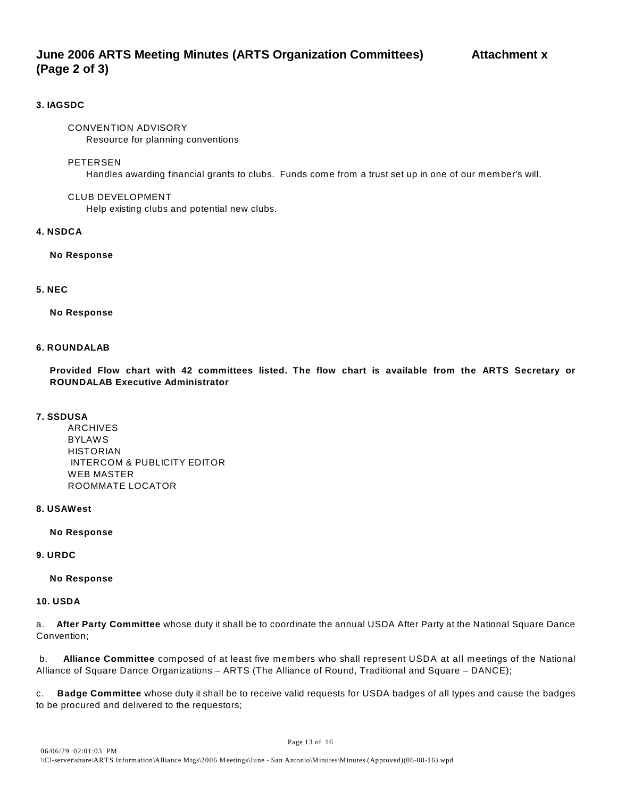# **June 2006 ARTS Meeting Minutes (ARTS Organization Committees) Attachment x (Page 2 of 3)**

# **3. IAGSDC**

# CONVENTION ADVISORY

Resource for planning conventions

# PETERSEN

Handles awarding financial grants to clubs. Funds come from a trust set up in one of our member's will.

# CLUB DEVELOPMENT

Help existing clubs and potential new clubs.

# **4. NSDCA**

# **No Response**

# **5. NEC**

# **No Response**

# **6. ROUNDALAB**

**Provided Flow chart with 42 committees listed. The flow chart is available from the ARTS Secretary or ROUNDALAB Executive Administrator** 

# **7. SSDUSA**

ARCHIVES BYLAWS **HISTORIAN**  INTERCOM & PUBLICITY EDITOR WEB MASTER ROOMMATE LOCATOR

# **8. USAWest**

# **No Response**

# **9. URDC**

# **No Response**

# **10. USDA**

a. **After Party Committee** whose duty it shall be to coordinate the annual USDA After Party at the National Square Dance Convention;

 b. **Alliance Committee** composed of at least five members who shall represent USDA at all meetings of the National Alliance of Square Dance Organizations – ARTS (The Alliance of Round, Traditional and Square – DANCE);

c. **Badge Committee** whose duty it shall be to receive valid requests for USDA badges of all types and cause the badges to be procured and delivered to the requestors;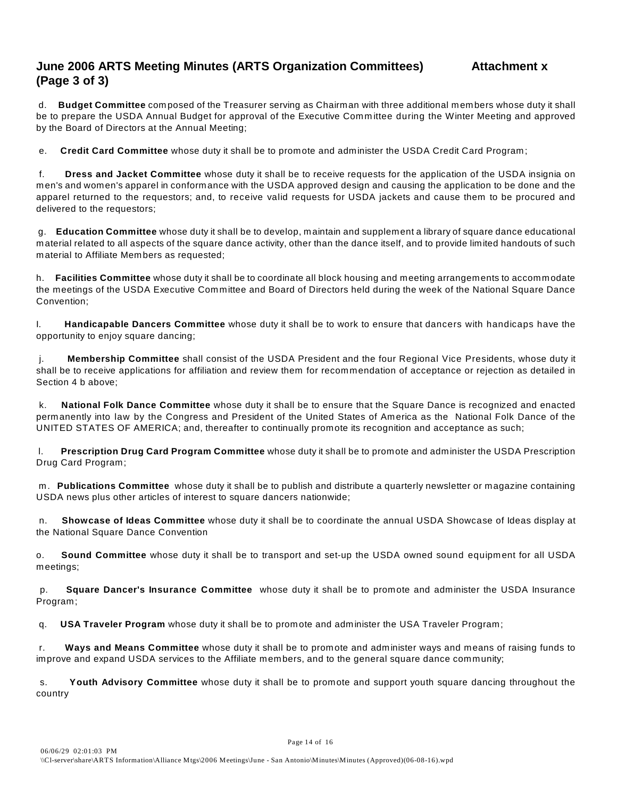# **June 2006 ARTS Meeting Minutes (ARTS Organization Committees) Attachment x (Page 3 of 3)**

 d. **Budget Committee** composed of the Treasurer serving as Chairman with three additional members whose duty it shall be to prepare the USDA Annual Budget for approval of the Executive Comm ittee during the Winter Meeting and approved by the Board of Directors at the Annual Meeting;

e. **Credit Card Committee** whose duty it shall be to promote and administer the USDA Credit Card Program;

 f. **Dress and Jacket Committee** whose duty it shall be to receive requests for the application of the USDA insignia on men's and women's apparel in conformance with the USDA approved design and causing the application to be done and the apparel returned to the requestors; and, to receive valid requests for USDA jackets and cause them to be procured and delivered to the requestors;

 g. **Education Committee** whose duty it shall be to develop, maintain and supplement a library of square dance educational material related to all aspects of the square dance activity, other than the dance itself, and to provide limited handouts of such material to Affiliate Members as requested;

h. **Facilities Committee** whose duty it shall be to coordinate all block housing and meeting arrangements to accommodate the meetings of the USDA Executive Committee and Board of Directors held during the week of the National Square Dance Convention;

I. **Handicapable Dancers Committee** whose duty it shall be to work to ensure that dancers with handicaps have the opportunity to enjoy square dancing;

 j. **Membership Committee** shall consist of the USDA President and the four Regional Vice Presidents, whose duty it shall be to receive applications for affiliation and review them for recommendation of acceptance or rejection as detailed in Section 4 b above;

 k. **National Folk Dance Committee** whose duty it shall be to ensure that the Square Dance is recognized and enacted permanently into law by the Congress and President of the United States of America as the National Folk Dance of the UNITED STATES OF AMERICA; and, thereafter to continually promote its recognition and acceptance as such;

 l. **Prescription Drug Card Program Committee** whose duty it shall be to promote and administer the USDA Prescription Drug Card Program;

 m. **Publications Committee** whose duty it shall be to publish and distribute a quarterly newsletter or magazine containing USDA news plus other articles of interest to square dancers nationwide;

 n. **Showcase of Ideas Committee** whose duty it shall be to coordinate the annual USDA Showcase of Ideas display at the National Square Dance Convention

o. **Sound Committee** whose duty it shall be to transport and set-up the USDA owned sound equipment for all USDA meetings;

 p. **Square Dancer's Insurance Committee** whose duty it shall be to promote and administer the USDA Insurance Program;

q. **USA Traveler Program** whose duty it shall be to promote and administer the USA Traveler Program;

 r. **Ways and Means Committee** whose duty it shall be to promote and administer ways and means of raising funds to improve and expand USDA services to the Affiliate members, and to the general square dance community;

 s. **Youth Advisory Committee** whose duty it shall be to promote and support youth square dancing throughout the country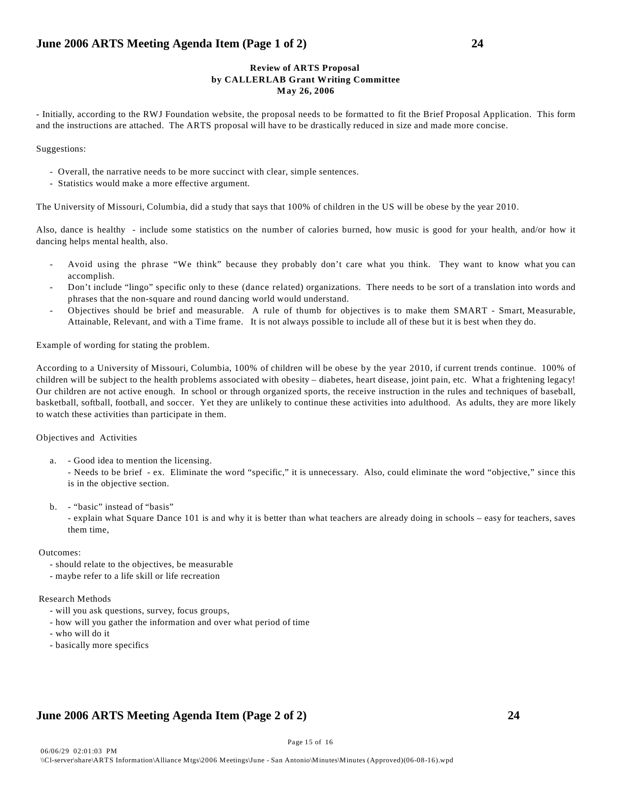# **Review of ARTS Proposal by CALLERLAB Grant Writing Committee May 26, 2006**

- Initially, according to the RWJ Foundation website, the proposal needs to be formatted to fit the Brief Proposal Application. This form and the instructions are attached. The ARTS proposal will have to be drastically reduced in size and made more concise.

Suggestions:

- Overall, the narrative needs to be more succinct with clear, simple sentences.
- Statistics would make a more effective argument.

The University of Missouri, Columbia, did a study that says that 100% of children in the US will be obese by the year 2010.

Also, dance is healthy - include some statistics on the number of calories burned, how music is good for your health, and/or how it dancing helps mental health, also.

- Avoid using the phrase "We think" because they probably don't care what you think. They want to know what you can accomplish.
- Don't include "lingo" specific only to these (dance related) organizations. There needs to be sort of a translation into words and phrases that the non-square and round dancing world would understand.
- Objectives should be brief and measurable. A rule of thumb for objectives is to make them SMART Smart, Measurable, Attainable, Relevant, and with a Time frame. It is not always possible to include all of these but it is best when they do.

Example of wording for stating the problem.

According to a University of Missouri, Columbia, 100% of children will be obese by the year 2010, if current trends continue. 100% of children will be subject to the health problems associated with obesity – diabetes, heart disease, joint pain, etc. What a frightening legacy! Our children are not active enough. In school or through organized sports, the receive instruction in the rules and techniques of baseball, basketball, softball, football, and soccer. Yet they are unlikely to continue these activities into adulthood. As adults, they are more likely to watch these activities than participate in them.

Objectives and Activities

- a. Good idea to mention the licensing.
	- Needs to be brief ex. Eliminate the word "specific," it is unnecessary. Also, could eliminate the word "objective," since this is in the objective section.
- b. "basic" instead of "basis"
	- explain what Square Dance 101 is and why it is better than what teachers are already doing in schools easy for teachers, saves them time,

Page 15 of 16

# Outcomes:

- should relate to the objectives, be measurable
- maybe refer to a life skill or life recreation

# Research Methods

- will you ask questions, survey, focus groups,
- how will you gather the information and over what period of time
- who will do it
- basically more specifics

# **June 2006 ARTS Meeting Agenda Item (Page 2 of 2) 24**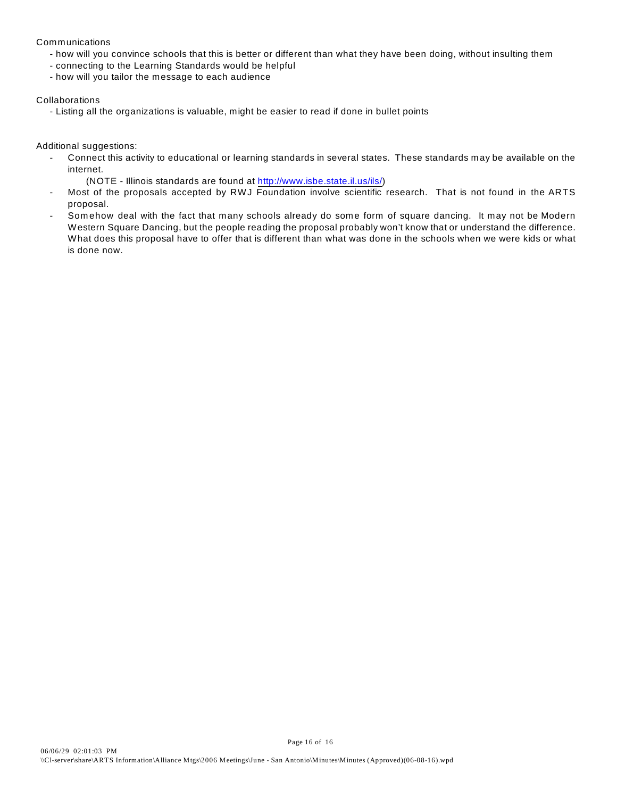# Communications

- how will you convince schools that this is better or different than what they have been doing, without insulting them
- connecting to the Learning Standards would be helpful
- how will you tailor the message to each audience

# Collaborations

- Listing all the organizations is valuable, might be easier to read if done in bullet points

Additional suggestions:

- Connect this activity to educational or learning standards in several states. These standards may be available on the internet.
	- (NOTE Illinois standards are found at<http://www.isbe.state.il.us/ils/>)
- Most of the proposals accepted by RWJ Foundation involve scientific research. That is not found in the ARTS proposal.
- Somehow deal with the fact that many schools already do some form of square dancing. It may not be Modern Western Square Dancing, but the people reading the proposal probably won't know that or understand the difference. What does this proposal have to offer that is different than what was done in the schools when we were kids or what is done now.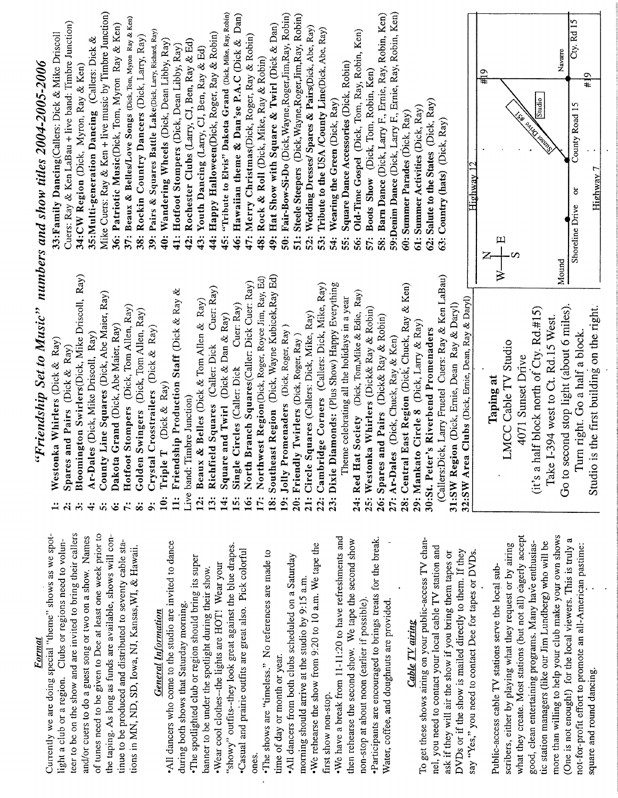Format

teer to be on the show and are invited to bring their callers of tunes need to be given to Dee at least one week prior to Currently we are doing special "theme" shows as we spothe taping. As long as funds are available, shows will conand/or cuers to do a guest song or two on a show. Names light a club or a region. Clubs or regions need to voluntinue to be produced and distributed to seventy cable staions in MN, ND, SD, Iowa, NJ, Kansas, WI, & Hawaii.

# **General Information**

All dancers who come to the studio are invited to dance 'showy" outfits-they look great against the blue drapes. Casual and prairie outfits are great also. Pick colorful The spotlighted club or region should bring its super Wear cool clothes--the lights are HOT! Wear your panner to be under the spotlight during their show. during both shows that Saturday morning. ones.

•The shows are "timeless." No references are made to time of day or month or year.

. We rehearse the show from 9:20 to 10 a.m. We tape the All dancers from both clubs scheduled on a Saturday morning should arrive at the studio by 9:15 a.m. first show non-stop.

. We have a break from 11-11:20 to have refreshments and Participants are encouraged to brings treats for the break. hen rehearse the second show. We tape the second show non-stop at about noon (earlier if possible). Water, coffee, and doughnuts are provided.

# **Cable TV** airing

To get these shows airing on your public-access TV channel, you need to contact your local cable TV station and ask if they will air the show if you bring them tapes or DVDs or if the show is mailed directly to them. If they say "Yes," you need to contact Dee for tapes or DVDs.

more than willing to help your club make your own shows what they create. Most stations (but not all) eagerly accept (One is not enough!) for the local viewers. This is truly a good, clean entertaining programs. Many have enthusiastic station managers (like our Jim Lundberg) who will be scribers, either by playing what they request or by airing not-for-profit effort to promote an all-American pastime: Public-access cable TV stations serve the local subsquare and round dancing.

# "Friendship Set to Music" numbers and show titles 2004-2005-2006

- Westonka Whirlers (Dick  $\&$  Ray)
- Spares and Pairs (Dick  $\&$  Ray)  $\ddot{a}$
- Bloomington Swirlers(Dick, Mike Driscoll, Ray)  $\ddot{\sigma}$ 
	- Ar-Dales (Dick, Mike Driscoll, Ray)  $\div$
- 
- County Line Squares (Dick, Abe Maier, Ray) Dakota Grand (Dick, Abe Maier, Ray)  $\ddot{a}$   $\ddot{b}$ 
	-
- Hotfoot Stompers (Dick, Tom Allen, Ray)
	- Golden Swingers (Dick, Tom Allen, Ray)  $\ddot{x}$ 
		- Crystal Crosstrailers (Dick & Ray)
			- Triple T (Dick & Ray)  $\ddot{\mathbf{e}}$
- 11: Friendship Production Staff (Dick & Ray & Live band: Timbre Junction)
	- Beaux & Belles (Dick & Tom Allen & Ray)  $12:$
- Cuer: Ray) Richfield Squares (Caller: Dick 13:
	- Square and Twirl (Dick & Dan & Ray)  $\ddot{4}$ :
- Cuer: Ray) Single Circles (Caller: Dick  $\ddot{5}$
- North Branch Squares(Caller: Dick Cuer: Ray) 16:
- Northwest Region(Dick, Roger, Royce Jim, Ray, Ed) i7:
	- Southeast Region (Dick, Wayne Kubicek, Ray Ed)  $\ddot{\mathbf{s}}$ 
		- 19: Jolly Promenaders (Dick, Roger, Ray)
			- 20: Friendly Twirlers (Dick, Roger, Ray)
- 21: Circle Squares (Callers: Dick, Mike, Ray)
- 22: Cambridge Corners (Callers: Dick, Mike, Ray)
- 23: Dixie Diamonds: (Plus Show) Happy Everything Theme celebrating all the holidays in a year

28: Central East Region (Dick, Chuck, Ray & Ken) 24: Red Hat Society (Dick, Tom, Mike & Edie, Ray) 25: Westonka Whirlers (Dick& Ray & Robin) 26: Spares and Pairs (Dick& Ray & Robin) 29: Mankato Circle 8 (Dick, Larry & Ray) 30:St. Peter's Riverbend Promenaders 27: Ar-Dales (Dick, Chuck, Ray & Ken)

(Callers:Dick, Larry Fruetel Cuers: Ray & Ken LaBau) 32:SW Area Clubs (Dick, Ernie, Dean, Ray & Daryl) 31:SW Region (Dick, Ernie, Dean Ray & Daryl)

62: Salute to the States (Dick, Ray)

63: Country (hats) (Dick, Ray)

61: Summer Activities (Dick, Ray)

Studio is the first building on the right. Go to second stop light (about 6 miles). (it's a half block north of Cty. Rd.#15) Take I-394 west to Ct. Rd.15 West. Turn right. Go a half a block. LMCC Cable TV Studio 4071 Sunset Drive Taping at

Mike Cuers: Ray & Ken + live music by Timbre Junction) 45: "Tribute to Elvis" Dakota Grand (Dick, Mike, Ray, Robin) 58: Barn Dance (Dick, Larry F., Ernie, Ray, Robin, Ken) 59:Denim Dance (Dick, Larry F., Ernie, Ray, Robin, Ken) 46: Hawaiian theme  $\&$  Dan'se P.A.C (Dick  $\&$  Dan) 50: Fair-Bow-Si-Do (Dick, Wayne, Roger, Jim, Ray, Robin) 51: Steele Steepers (Dick, Wayne, Roger, Jim, Ray, Robin) 37: Beaux & Belles/Love Songs (Dick, Tom, Myron Ray & Ken) Cuers: Ray & Ken LaBau + live band: Timbre Junction) 36: Patriotic Music(Dick, Tom, Myron Ray & Ken) 49: Hat Show with Square & Twirl (Dick & Dan) Wedding Dresses/ Spares & Pairs(Dick, Abe, Ray) Tribute to the USA /County Line(Dick, Abe, Ray) 39: Pairs & Squares Battle Lake(Dick, Lary, Richard, Ray) Old-Time Gospel (Dick, Tom, Ray, Robin, Ken) 33: Family Dancing (Callers: Dick & Mike Driscoll 44: Happy Halloween(Dick, Roger, Ray & Robin) Rockin Country Dancers (Dick, Larry, Ray) 47: Merry Christmas(Dick, Roger, Ray & Robin) 35: Multi-generation Dancing (Callers: Dick & 40: Wandering Wheels (Dick, Dean Libby, Ray) Rochester Clubs (Lary, CJ, Ben, Ray & Ed) 41: Hotfoot Stompers (Dick, Dean Libby, Ray) 43: Youth Dancing (Larry, CJ, Ben, Ray & Ed) 48: Rock & Roll (Dick, Mike, Ray & Robin) Square Dance Accessories (Dick, Robin) 34:CW Region (Dick, Myron, Ray & Ken) 57: Boots Show (Dick, Tom, Robin, Ken) Wearing the Green (Dick, Ray) 60: Summer Parades (Dick, Ray)  $38:$  $42:$  $52:$  $\overline{53}$  $\ddot{a}$ 56: 55: